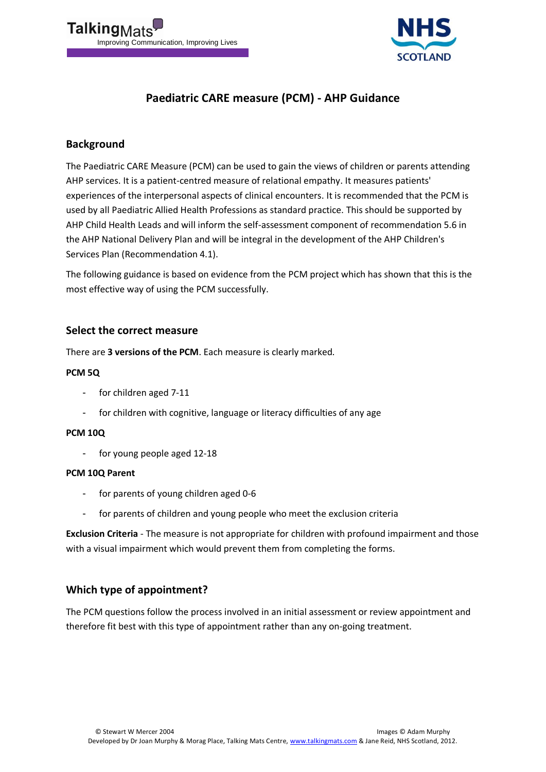



# **Paediatric CARE measure (PCM) - AHP Guidance**

## **Background**

The Paediatric CARE Measure (PCM) can be used to gain the views of children or parents attending AHP services. It is a patient-centred measure of relational empathy. It measures patients' experiences of the interpersonal aspects of clinical encounters. It is recommended that the PCM is used by all Paediatric Allied Health Professions as standard practice. This should be supported by AHP Child Health Leads and will inform the self-assessment component of recommendation 5.6 in the AHP National Delivery Plan and will be integral in the development of the AHP Children's Services Plan (Recommendation 4.1).

The following guidance is based on evidence from the PCM project which has shown that this is the most effective way of using the PCM successfully.

### **Select the correct measure**

There are **3 versions of the PCM**. Each measure is clearly marked.

#### **PCM 5Q**

- for children aged 7-11
- for children with cognitive, language or literacy difficulties of any age

#### **PCM 10Q**

- for young people aged 12-18

#### **PCM 10Q Parent**

- for parents of young children aged 0-6
- for parents of children and young people who meet the exclusion criteria

**Exclusion Criteria** - The measure is not appropriate for children with profound impairment and those with a visual impairment which would prevent them from completing the forms.

### **Which type of appointment?**

The PCM questions follow the process involved in an initial assessment or review appointment and therefore fit best with this type of appointment rather than any on-going treatment.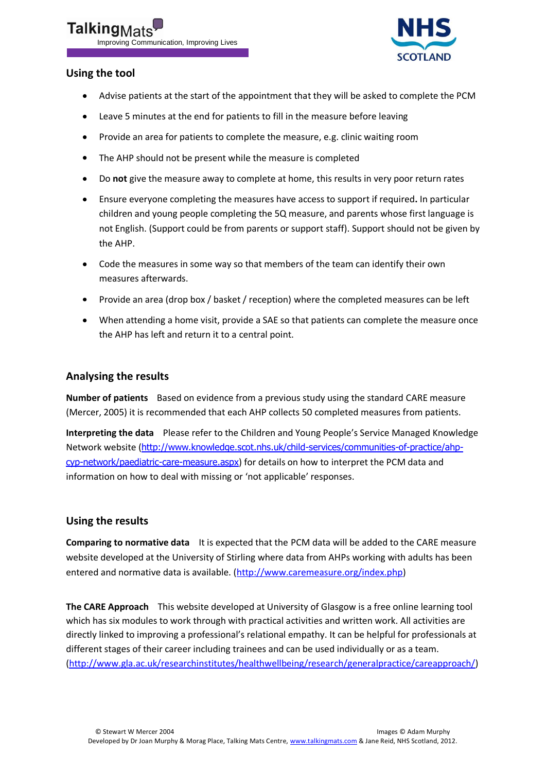# **Talking** Improving Communication, Improving Lives



## **Using the tool**

- Advise patients at the start of the appointment that they will be asked to complete the PCM
- Leave 5 minutes at the end for patients to fill in the measure before leaving
- Provide an area for patients to complete the measure, e.g. clinic waiting room  $\bullet$
- The AHP should not be present while the measure is completed  $\bullet$
- Do **not** give the measure away to complete at home, this results in very poor return rates  $\bullet$
- Ensure everyone completing the measures have access to support if required**.** In particular  $\bullet$ children and young people completing the 5Q measure, and parents whose first language is not English. (Support could be from parents or support staff). Support should not be given by the AHP.
- Code the measures in some way so that members of the team can identify their own measures afterwards.
- Provide an area (drop box / basket / reception) where the completed measures can be left
- When attending a home visit, provide a SAE so that patients can complete the measure once the AHP has left and return it to a central point.

## **Analysing the results**

**Number of patients** Based on evidence from a previous study using the standard CARE measure (Mercer, 2005) it is recommended that each AHP collects 50 completed measures from patients.

**Interpreting the data** Please refer to the Children and Young People's Service Managed Knowledge Network website ([http://www.knowledge.scot.nhs.uk/child-services/communities-of-practice/ahp](http://www.knowledge.scot.nhs.uk/child-services/communities-of-practice/ahp-cyp-network/paediatric-care-measure.aspx)[cyp-network/paediatric-care-measure.aspx](http://www.knowledge.scot.nhs.uk/child-services/communities-of-practice/ahp-cyp-network/paediatric-care-measure.aspx)) for details on how to interpret the PCM data and information on how to deal with missing or 'not applicable' responses.

## **Using the results**

**Comparing to normative data** It is expected that the PCM data will be added to the CARE measure website developed at the University of Stirling where data from AHPs working with adults has been entered and normative data is available. [\(http://www.caremeasure.org/index.php\)](http://www.caremeasure.org/index.php)

**The CARE Approach** This website developed at University of Glasgow is a free online learning tool which has six modules to work through with practical activities and written work. All activities are directly linked to improving a professional's relational empathy. It can be helpful for professionals at different stages of their career including trainees and can be used individually or as a team. [\(http://www.gla.ac.uk/researchinstitutes/healthwellbeing/research/generalpractice/careapproach/\)](http://www.gla.ac.uk/researchinstitutes/healthwellbeing/research/generalpractice/careapproach/)